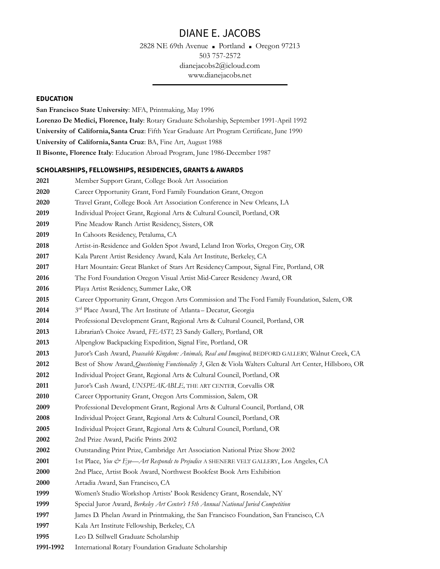NE 69th Avenue ■ Portland ■ Oregon 97213 757-2572 [dianejacobs2@icloud.com](mailto:dianejacobs@igc.org) www.dianejacobs.net

### **EDUCATION**

**San Francisco State University**: MFA, Printmaking, May 1996 **Lorenzo De Medici, Florence, Italy**: Rotary Graduate Scholarship, September 1991-April 1992 **University of California,Santa Cruz**: Fifth Year Graduate Art Program Certificate, June 1990 **University of California,Santa Cruz**: BA, Fine Art, August 1988 **Il Bisonte, Florence Italy**: Education Abroad Program, June 1986-December 1987

#### **SCHOLARSHIPS, FELLOWSHIPS, RESIDENCIES, GRANTS & AWARDS**

| 2021      | Member Support Grant, College Book Art Association                                                       |
|-----------|----------------------------------------------------------------------------------------------------------|
| 2020      | Career Opportunity Grant, Ford Family Foundation Grant, Oregon                                           |
| 2020      | Travel Grant, College Book Art Association Conference in New Orleans, LA                                 |
| 2019      | Individual Project Grant, Regional Arts & Cultural Council, Portland, OR                                 |
| 2019      | Pine Meadow Ranch Artist Residency, Sisters, OR                                                          |
| 2019      | In Cahoots Residency, Petaluma, CA                                                                       |
| 2018      | Artist-in-Residence and Golden Spot Award, Leland Iron Works, Oregon City, OR                            |
| 2017      | Kala Parent Artist Residency Award, Kala Art Institute, Berkeley, CA                                     |
| 2017      | Hart Mountain: Great Blanket of Stars Art Residency Campout, Signal Fire, Portland, OR                   |
| 2016      | The Ford Foundation Oregon Visual Artist Mid-Career Residency Award, OR                                  |
| 2016      | Playa Artist Residency, Summer Lake, OR                                                                  |
| 2015      | Career Opportunity Grant, Oregon Arts Commission and The Ford Family Foundation, Salem, OR               |
| 2014      | 3rd Place Award, The Art Institute of Atlanta-Decatur, Georgia                                           |
| 2014      | Professional Development Grant, Regional Arts & Cultural Council, Portland, OR                           |
| 2013      | Librarian's Choice Award, FEAST!, 23 Sandy Gallery, Portland, OR                                         |
| 2013      | Alpenglow Backpacking Expedition, Signal Fire, Portland, OR                                              |
| 2013      | Juror's Cash Award, Peaceable Kingdom: Animals, Real and Imagined, BEDFORD GALLERY, Walnut Creek, CA     |
| 2012      | Best of Show Award, Questioning Functionality 3, Glen & Viola Walters Cultural Art Center, Hillsboro, OR |
| 2012      | Individual Project Grant, Regional Arts & Cultural Council, Portland, OR                                 |
| 2011      | Juror's Cash Award, UNSPEAKABLE, THE ART CENTER, Corvallis OR                                            |
| 2010      | Career Opportunity Grant, Oregon Arts Commission, Salem, OR                                              |
| 2009      | Professional Development Grant, Regional Arts & Cultural Council, Portland, OR                           |
| 2008      | Individual Project Grant, Regional Arts & Cultural Council, Portland, OR                                 |
| 2005      | Individual Project Grant, Regional Arts & Cultural Council, Portland, OR                                 |
| 2002      | 2nd Prize Award, Pacific Prints 2002                                                                     |
| 2002      | Outstanding Print Prize, Cambridge Art Association National Prize Show 2002                              |
| 2001      | 1st Place, You & Eye-Art Responds to Prejudice A SHENERE VELT GALLERY, Los Angeles, CA                   |
| 2000      | 2nd Place, Artist Book Award, Northwest Bookfest Book Arts Exhibition                                    |
| 2000      | Artadia Award, San Francisco, CA                                                                         |
| 1999      | Women's Studio Workshop Artists' Book Residency Grant, Rosendale, NY                                     |
| 1999      | Special Juror Award, Berkeley Art Center's 15th Annual National Juried Competition                       |
| 1997      | James D. Phelan Award in Printmaking, the San Francisco Foundation, San Francisco, CA                    |
| 1997      | Kala Art Institute Fellowship, Berkeley, CA                                                              |
| 1995      | Leo D. Stillwell Graduate Scholarship                                                                    |
| 1991-1992 | International Rotary Foundation Graduate Scholarship                                                     |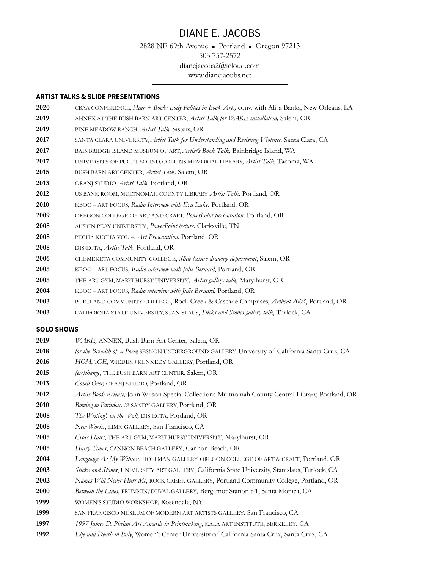NE 69th Avenue ■ Portland ■ Oregon 97213 757-2572 [dianejacobs2@icloud.com](mailto:dianejacobs@igc.org) www.dianejacobs.net

### **ARTIST TALKS & SLIDE PRESENTATIONS**

| 2020 | CBAA CONFERENCE, Hair + Book: Body Politics in Book Arts, conv. with Alisa Banks, New Orleans, LA |
|------|---------------------------------------------------------------------------------------------------|
| 2019 | ANNEX AT THE BUSH BARN ART CENTER, Artist Talk for WAKE installation, Salem, OR                   |
| 2019 | PINE MEADOW RANCH, <i>Artist Talk</i> , Sisters, OR                                               |
| 2017 | SANTA CLARA UNIVERSITY, Artist Talk for Understanding and Resisting Violence, Santa Clara, CA     |
| 2017 | BAINBRIDGE ISLAND MUSEUM OF ART, Artist's Book Talk, Bainbridge Island, WA                        |
| 2017 | UNIVERSITY OF PUGET SOUND, COLLINS MEMORIAL LIBRARY, Artist Talk, Tacoma, WA                      |
| 2015 | BUSH BARN ART CENTER, <i>Artist Talk</i> , Salem, OR                                              |
| 2013 | ORANJ STUDIO, Artist Talk, Portland, OR                                                           |
| 2012 | US BANK ROOM, MULTNOMAH COUNTY LIBRARY Artist Talk, Portland, OR                                  |
| 2010 | KBOO - ART FOCUS, Radio Interview with Eva Lake. Portland, OR                                     |
| 2009 | OREGON COLLEGE OF ART AND CRAFT, PowerPoint presentation. Portland, OR                            |
| 2008 | AUSTIN PEAY UNIVERSITY, PowerPoint lecture. Clarksville, TN                                       |
| 2008 | PECHA KUCHA VOL. 4, Art Presentation. Portland, OR                                                |
| 2008 | DISJECTA, <i>Artist Talk</i> . Portland, OR                                                       |
| 2006 | CHEMEKETA COMMUNITY COLLEGE, Slide lecture drawing department, Salem, OR                          |
| 2005 | KBOO - ART FOCUS, Radio interview with Julie Bernard, Portland, OR                                |
| 2005 | THE ART GYM, MARYLHURST UNIVERSITY, Artist gallery talk, Marylhurst, OR                           |
| 2004 | KBOO - ART FOCUS, Radio interview with Julie Bernard, Portland, OR                                |
| 2003 | PORTLAND COMMUNITY COLLEGE, Rock Creek & Cascade Campuses, Artheat 2003, Portland, OR             |
| 2002 | CALIEQUALLA STATE UNIVERSITY STANISLAVE ALLE Cticks and Ctones gallomy talk Two only $\Omega$     |

CALIFORNIA STATE UNIVERSITY, STANISLAUS, *Sticks and Stones gallery talk*, Turlock, CA

### **SOLO SHOWS**

| 2019 | WAKE, ANNEX, Bush Barn Art Center, Salem, OR                                                        |
|------|-----------------------------------------------------------------------------------------------------|
| 2018 | for the Breadth of a Poem SESNON UNDERGROUND GALLERY, University of California Santa Cruz, CA       |
| 2016 | HOMAGE, WIEDEN+KENNEDY GALLERY, Portland, OR                                                        |
| 2015 | (ex)change, THE BUSH BARN ART CENTER, Salem, OR                                                     |
| 2013 | Comb Over, ORANJ STUDIO, Portland, OR                                                               |
| 2012 | Artist Book Release, John Wilson Special Collections Multnomah County Central Library, Portland, OR |
| 2010 | Bowing to Paradox, 23 SANDY GALLERY, Portland, OR                                                   |
| 2008 | The Writing's on the Wall, DISJECTA, Portland, OR                                                   |
| 2008 | New Works, LIMN GALLERY, San Francisco, CA                                                          |
| 2005 | Cross Hairs, THE ART GYM, MARYLHURST UNIVERSITY, Marylhurst, OR                                     |
| 2005 | Hairy Times, CANNON BEACH GALLERY, Cannon Beach, OR                                                 |
| 2004 | Language As My Witness, HOFFMAN GALLERY, OREGON COLLEGE OF ART & CRAFT, Portland, OR                |
| 2003 | Sticks and Stones, UNIVERSITY ART GALLERY, California State University, Stanislaus, Turlock, CA     |
| 2002 | Names Will Never Hurt Me, ROCK CREEK GALLERY, Portland Community College, Portland, OR              |
| 2000 | Between the Lines, FRUMKIN/DUVAL GALLERY, Bergamot Station t-1, Santa Monica, CA                    |
| 1999 | WOMEN'S STUDIO WORKSHOP, Rosendale, NY                                                              |
| 1999 | SAN FRANCISCO MUSEUM OF MODERN ART ARTISTS GALLERY, San Francisco, CA                               |
| 1997 | 1997 James D. Phelan Art Awards in Printmaking, KALA ART INSTITUTE, BERKELEY, CA                    |
| 1992 | Life and Death in Italy, Women't Center University of California Santa Cruz, Santa Cruz, CA         |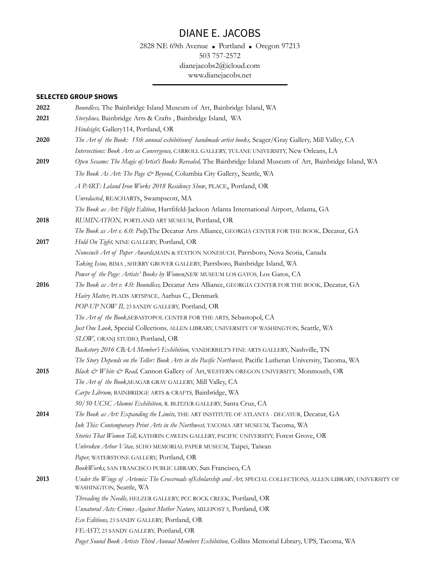2828 NE 69th Avenue ■ Portland ■ Oregon 97213 503 757-2572 [dianejacobs2@icloud.com](mailto:dianejacobs@igc.org) www.dianejacobs.net

### **SELECTED GROUP SHOWS**

| 2022 | Boundless, The Bainbridge Island Museum of Art, Bainbridge Island, WA                                                                           |
|------|-------------------------------------------------------------------------------------------------------------------------------------------------|
| 2021 | Storylines, Bainbridge Arts & Crafts, Bainbridge Island, WA                                                                                     |
|      | Hindsight, Gallery114, Portland, OR                                                                                                             |
| 2020 | The Art of the Book: 15th annual exhibitionof handmade artist books, Seager/Gray Gallery, Mill Valley, CA                                       |
|      | Intersections: Book Arts as Convergence, CARROLL GALLERY, TULANE UNIVERSITY, New Orleans, LA                                                    |
| 2019 | Open Sesame: The Magic of Artist's Books Revealed, The Bainbridge Island Museum of Art, Bainbridge Island, WA                                   |
|      | The Book As Art: The Page & Beyond, Columbia City Gallery, Seattle, WA                                                                          |
|      | A PART: Leland Iron Works 2018 Residency Show, PLACE, Portland, OR                                                                              |
|      | Unredacted, REACHARTS, Swampscott, MA                                                                                                           |
|      | The Book as Art: Flight Edition, Hartfifeld-Jackson Atlanta International Airport, Atlanta, GA                                                  |
| 2018 | RUMINATION, PORTLAND ART MUSEUM, Portland, OR                                                                                                   |
|      | The Book as Art v. 6.0: Pulp, The Decatur Arts Alliance, GEORGIA CENTER FOR THE BOOK, Decatur, GA                                               |
| 2017 | Hold On Tight, NINE GALLERY, Portland, OR                                                                                                       |
|      | Nonesuch Art of Paper Awards, MAIN & STATION NONESUCH, Parrsboro, Nova Scotia, Canada                                                           |
|      | Taking Issue, BIMA, SHERRY GROVER GALLERY, Parrsboro, Bainbridge Island, WA                                                                     |
|      | Power of the Page: Artists' Books by Women, NEW MUSEUM LOS GATOS, Los Gatos, CA                                                                 |
| 2016 | The Book as Art v. 4.0: Boundless, Decatur Arts Alliance, GEORGIA CENTER FOR THE BOOK, Decatur, GA                                              |
|      | Hairy Matter, PLADS ARTSPACE, Aarhus C., Denmark                                                                                                |
|      | POP-UP NOW II, 23 SANDY GALLERY, Portland, OR                                                                                                   |
|      | The Art of the Book, SEBASTOPOL CENTER FOR THE ARTS, Sebastopol, CA                                                                             |
|      | Just One Look, Special Collections, ALLEN LIBRARY, UNIVERSITY OF WASHINGTON, Seattle, WA                                                        |
|      | SLOW, ORANJ STUDIO, Portland, OR                                                                                                                |
|      | Backstory 2016 CBAA Member's Exhibition, VANDERBILT'S FINE ARTS GALLERY, Nashville, TN                                                          |
|      | The Story Depends on the Teller: Book Arts in the Pacific Northwest, Pacific Lutheran University, Tacoma, WA                                    |
| 2015 | Black & White & Read, Cannon Gallery of Art, WESTERN OREGON UNIVERSITY, Monmouth, OR                                                            |
|      | The Art of the Book, SEAGAR GRAY GALLERY, Mill Valley, CA                                                                                       |
|      | Carpe Librum, BAINBRIDGE ARTS & CRAFTS, Bainbridge, WA                                                                                          |
|      | 50/50 UCSC Alumni Exhibition, R. BLITZER GALLERY, Santa Cruz, CA                                                                                |
| 2014 | The Book as Art: Expanding the Limits, THE ART INSTITUTE OF ATLANTA - DECATUR, Decatur, GA                                                      |
|      | Ink This: Contemporary Print Arts in the Northwest, TACOMA ART MUSEUM, Tacoma, WA                                                               |
|      | Stories That Women Tell, KATHRIN CAWEIN GALLERY, PACIFIC UNIVERSITY, Forest Grove, OR                                                           |
|      | Unbroken Arbor Vitae, SUHO MEMORIAL PAPER MUSEUM, Taipei, Taiwan                                                                                |
|      | Paper, WATERSTONE GALLERY, Portland, OR                                                                                                         |
|      | BookWorks, SAN FRANCISCO PUBLIC LIBRARY, San Francisco, CA                                                                                      |
| 2013 | Under the Wings of Artemis: The Crossroads of Scholarship and Art, SPECIAL COLLECTIONS, ALLEN LIBRARY, UNIVERSITY OF<br>WASHINGTON, Seattle, WA |
|      | Threading the Needle, HELZER GALLERY, PCC ROCK CREEK, Portland, OR                                                                              |
|      | Unnatural Acts: Crimes Against Mother Nature, MILEPOST 5, Portland, OR                                                                          |
|      | Eco Editions, 23 SANDY GALLERY, Portland, OR                                                                                                    |
|      | FEAST!, 23 SANDY GALLERY, Portland, OR                                                                                                          |
|      | Puget Sound Book Artists Third Annual Members Exhibition, Collins Memorial Library, UPS, Tacoma, WA                                             |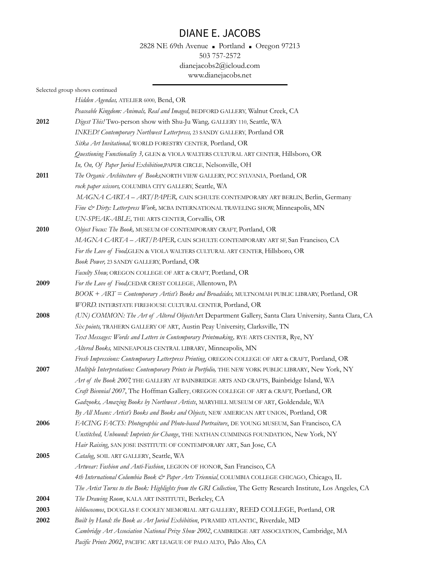### 2828 NE 69th Avenue ■ Portland ■ Oregon 97213 503 757-2572 [dianejacobs2@icloud.com](mailto:dianejacobs@igc.org) www.dianejacobs.net

|      | Selected group shows continued                                                                                  |
|------|-----------------------------------------------------------------------------------------------------------------|
|      | Hidden Agendas, ATELIER 6000, Bend, OR                                                                          |
|      | Peaceable Kingdom: Animals, Real and Imaged, BEDFORD GALLERY, Walnut Creek, CA                                  |
| 2012 | Digest This! Two-person show with Shu-Ju Wang, GALLERY 110, Seattle, WA                                         |
|      | INKED! Contemporary Northwest Letterpress, 23 SANDY GALLERY, Portland OR                                        |
|      | Sitka Art Invitational, WORLD FORESTRY CENTER, Portland, OR                                                     |
|      | Questioning Functionality 3, GLEN & VIOLA WALTERS CULTURAL ART CENTER, Hillsboro, OR                            |
|      | In, On, Of Paper Juried Exhibition, PAPER CIRCLE, Nelsonville, OH                                               |
| 2011 | The Organic Architecture of Books, NORTH VIEW GALLERY, PCC SYLVANIA, Portland, OR                               |
|      | rock paper scissors, COLUMBIA CITY GALLERY, Seattle, WA                                                         |
|      | MAGNA CARTA - ART/PAPER, CAIN SCHULTE CONTEMPORARY ART BERLIN, Berlin, Germany                                  |
|      | Fine & Dirty: Letterpress Work, MCBA INTERNATIONAL TRAVELING SHOW, Minneapolis, MN                              |
|      | UN-SPEAK-ABLE, THE ARTS CENTER, Corvallis, OR                                                                   |
| 2010 | Object Focus: The Book, MUSEUM OF CONTEMPORARY CRAFT, Portland, OR                                              |
|      | MAGNA CARTA - ART/PAPER, CAIN SCHULTE CONTEMPORARY ART SF, San Francisco, CA                                    |
|      | For the Love of Food, GLEN & VIOLA WALTERS CULTURAL ART CENTER, Hillsboro, OR                                   |
|      | Book Power, 23 SANDY GALLERY, Portland, OR                                                                      |
|      | Faculty Show, OREGON COLLEGE OF ART & CRAFT, Portland, OR                                                       |
| 2009 | For the Love of Food, CEDAR CREST COLLEGE, Allentown, PA                                                        |
|      | BOOK + ART = Contemporary Artist's Books and Broadsides, MULTNOMAH PUBLIC LIBRARY, Portland, OR                 |
|      | WORD. INTERSTATE FIREHOUSE CULTURAL CENTER, Portland, OR                                                        |
| 2008 | (UN) COMMON: The Art of Altered ObjectsArt Department Gallery, Santa Clara University, Santa Clara, CA          |
|      | Six points, TRAHERN GALLERY OF ART, Austin Peay University, Clarksville, TN                                     |
|      | Text Messages: Words and Letters in Contemporary Printmaking, RYE ARTS CENTER, Rye, NY                          |
|      | Altered Books, MINNEAPOLIS CENTRAL LIBRARY, Minneapolis, MN                                                     |
|      | Fresh Impressions: Contemporary Letterpress Printing, OREGON COLLEGE OF ART & CRAFT, Portland, OR               |
| 2007 | Multiple Interpretations: Contemporary Prints in Portfolio, THE NEW YORK PUBLIC LIBRARY, New York, NY           |
|      | Art of the Book 2007 THE GALLERY AT BAINBRIDGE ARTS AND CRAFTS, Bainbridge Island, WA                           |
|      | Craft Biennial 2007, The Hoffman Gallery, OREGON COLLEGE OF ART & CRAFT, Portland, OR                           |
|      | Gadzooks, Amazing Books by Northwest Artists, MARYHILL MUSEUM OF ART, Goldendale, WA                            |
|      | By All Means: Artist's Books and Books and Objects, NEW AMERICAN ART UNION, Portland, OR                        |
| 2006 | FACING FACTS: Photographic and Photo-based Portraiture, DE YOUNG MUSEUM, San Francisco, CA                      |
|      | Unstitched, Unbound: Imprints for Change, THE NATHAN CUMMINGS FOUNDATION, New York, NY                          |
|      | Hair Raising, SAN JOSE INSTITUTE OF CONTEMPORARY ART, San Jose, CA                                              |
| 2005 | Catalog, SOIL ART GALLERY, Seattle, WA                                                                          |
|      | Artwear: Fashion and Anti-Fashion, LEGION OF HONOR, San Francisco, CA                                           |
|      | 4th International Columbia Book & Paper Arts Triennial, COLUMBIA COLLEGE CHICAGO, Chicago, IL                   |
|      | The Artist Turns to the Book: Highlights from the GRI Collection, The Getty Research Institute, Los Angeles, CA |
| 2004 | The Drawing Room, KALA ART INSTITUTE, Berkeley, CA                                                              |
| 2003 | bibliocosmos, DOUGLAS F. COOLEY MEMORIAL ART GALLERY, REED COLLEGE, Portland, OR                                |
| 2002 | Built by Hand: the Book as Art Juried Exhibition, PYRAMID ATLANTIC, Riverdale, MD                               |
|      | Cambridge Art Association National Prize Show 2002, CAMBRIDGE ART ASSOCIATION, Cambridge, MA                    |
|      | Pacific Prints 2002, PACIFIC ART LEAGUE OF PALO ALTO, Palo Alto, CA                                             |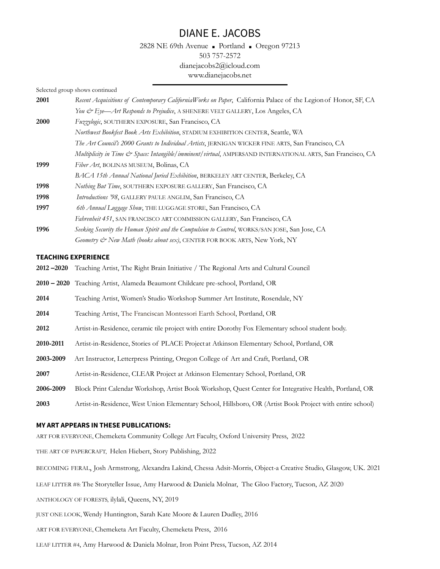2828 NE 69th Avenue ■ Portland ■ Oregon 97213 503 757-2572 [dianejacobs2@icloud.com](mailto:dianejacobs@igc.org) www.dianejacobs.net

Selected group shows continued

| 2001 | Recent Acquisitions of Contemporary CaliforniaWorks on Paper, California Palace of the Legion of Honor, SF, CA |
|------|----------------------------------------------------------------------------------------------------------------|
|      | You & Eye—Art Responds to Prejudice, A SHENERE VELT GALLERY, Los Angeles, CA                                   |
| 2000 | Fuzzylogic, SOUTHERN EXPOSURE, San Francisco, CA                                                               |
|      | Northwest Bookfest Book Arts Exhibition, STADIUM EXHIBITION CENTER, Seattle, WA                                |
|      | The Art Council's 2000 Grants to Individual Artists, JERNIGAN WICKER FINE ARTS, San Francisco, CA              |
|      | Multiplicity in Time & Space: Intangible/imminent/virtual, AMPERSAND INTERNATIONAL ARTS, San Francisco, CA     |
| 1999 | Fiber Art, BOLINAS MUSEUM, Bolinas, CA                                                                         |
|      | BACA 15th Annual National Juried Exhibition, BERKELEY ART CENTER, Berkeley, CA                                 |
| 1998 | Nothing But Time, SOUTHERN EXPOSURE GALLERY, San Francisco, CA                                                 |
| 1998 | Introductions '98, GALLERY PAULE ANGLIM, San Francisco, CA                                                     |
| 1997 | 6th Annual Luggage Show, THE LUGGAGE STORE, San Francisco, CA                                                  |
|      | Fahrenheit 451, SAN FRANCISCO ART COMMISSION GALLERY, San Francisco, CA                                        |
| 1996 | Seeking Security the Human Spirit and the Compulsion to Control, WORKS/SAN JOSE, San Jose, CA                  |
|      | Geometry & New Math (books about sex), CENTER FOR BOOK ARTS, New York, NY                                      |

#### **TEACHING EXPERIENCE**

- **2012 –2020** Teaching Artist, The Right Brain Initiative / The Regional Arts and Cultural Council
- **2010 – 2020** Teaching Artist, Alameda Beaumont Childcare pre-school, Portland, OR
- **2014** Teaching Artist, Women's Studio Workshop Summer Art Institute, Rosendale, NY
- **2014** Teaching Artist, The Franciscan Montessori Earth School, Portland, OR
- **2012** Artist-in-Residence, ceramic tile project with entire Dorothy Fox Elementary school student body.
- **2010-2011** Artist-in-Residence, Stories of PLACE Project at Atkinson Elementary School, Portland, OR
- **2003-2009** Art Instructor, Letterpress Printing, Oregon College of Art and Craft, Portland, OR
- **2007** Artist-in-Residence, CLEAR Project at Atkinson Elementary School, Portland, OR
- **2006-2009** Block Print Calendar Workshop, Artist Book Workshop, Quest Center for Integrative Health, Portland, OR
- **2003** Artist-in-Residence, West Union Elementary School, Hillsboro, OR (Artist Book Project with entire school)

#### **MY ART APPEARS IN THESE PUBLICATIONS:**

ART FOR EVERYONE, Chemeketa Community College Art Faculty, Oxford University Press, 2022

THE ART OF PAPERCRAFT, Helen Hiebert, Story Publishing, 2022

BECOMING FERAL, Josh Armstrong, Alexandra Lakind, Chessa Adsit-Morris, Object-a Creative Studio, Glasgow, UK. 2021

LEAF LITTER #8: The Storyteller Issue, Amy Harwood & Daniela Molnar, The Gloo Factory, Tucson, AZ 2020

ANTHOLOGY OF FORESTS, ilylali, Queens, NY, 2019

JUST ONE LOOK, Wendy Huntington, Sarah Kate Moore & Lauren Dudley, 2016

ART FOR EVERYONE, Chemeketa Art Faculty, Chemeketa Press, 2016

LEAF LITTER #4, Amy Harwood & Daniela Molnar, Iron Point Press, Tucson, AZ 2014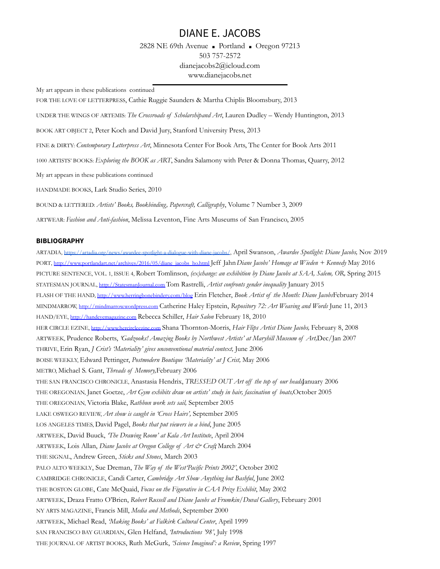2828 NE 69th Avenue ■ Portland ■ Oregon 97213 503 757-2572 [dianejacobs2@icloud.com](mailto:dianejacobs@igc.org) www.dianejacobs.net

My art appears in these publications continued

FOR THE LOVE OF LETTERPRESS, Cathie Ruggie Saunders & Martha Chiplis Bloomsbury, 2013

UNDER THE WINGS OF ARTEMIS: *The Crossroads of Scholarshipand Art*, Lauren Dudley – Wendy Huntington, 2013

BOOK ART OBJECT 2, Peter Koch and David Jury, Stanford University Press, 2013

FINE & DIRTY: *Contemporary Letterpress Art*, Minnesota Center For Book Arts, The Center for Book Arts 2011

1000 ARTISTS' BOOKS: *Exploring the BOOK as ART*, Sandra Salamony with Peter & Donna Thomas, Quarry, 2012

My art appears in these publications continued

HANDMADE BOOKS, Lark Studio Series, 2010

BOUND & LETTERED: *Artists' Books, Bookbinding, Papercraft, Calligraphy*, Volume 7 Number 3, 2009

ARTWEAR: *Fashion and Anti-fashion*, Melissa Leventon, Fine Arts Museums of San Francisco, 2005

#### **BIBLIOGRAPHY**

ARTADIA, <https://artadia.org/news/awardee-spotlight-a-dialogue-with-diane-jacobs/>, April Swanson, *Awardee Spotlight: Diane Jacobs,* Nov 2019 PORT, [http://www.portlandart.net/archives/2016/05/diane\\_jacobs\\_ho.html](http://www.portlandart.net/archives/2016/05/diane_jacobs_ho.html) Jeff Jahn*Diane Jacobs' Homage at Wieden + Kennedy* May 2016 PICTURE SENTENCE, VOL. 1, ISSUE 4, Robert Tomlinson, *(ex)change: an exhibition by Diane Jacobs at SAA, Salem, OR,* Spring 2015 STATESMAN JOURNAL, [http://StatesmanJournal.com](http://statesmanjournal.com) Tom Rastrelli, *Artist confronts gender inequality* January 2015 FLASH OF THE HAND, <http://www.herringbonebindery.com/blog> Erin Fletcher, *Book Artist of the Month: Diane Jacobs*February 2014 MINDMARROW, <http://mindmarrow.wordpress.com> Catherine Haley Epstein, *Repository 72: Art Weaving and Words* June 11, 2013 HAND/EYE, <http://handeyemagazine.com> Rebecca Schiller, *Hair Salon* February 18, 2010 HER CIRCLE EZINE, <http://www.hercircleezine.com> Shana Thornton-Morris, *Hair Flips Artist Diane Jacobs,* February 8, 2008 ARTWEEK, Prudence Roberts, *'Gadzooks! Amazing Books by Northwest Artists' at Maryhill Museum of Art,*Dec/Jan 2007 THRIVE, Erin Ryan, *J Crist's 'Materiality' gives unconventional material context,* June 2006 BOISE WEEKLY, Edward Pettinger, *Postmodern Boutique 'Materiality' at J Crist,* May 2006 METRO, Michael S. Gant, *Threads of Memory,*February 2006 THE SAN FRANCISCO CHRONICLE, Anastasia Hendrix, *TRESSED OUT Art of the top of our heads,*January 2006 THE OREGONIAN, Janet Goetze, *Art Gym exhibits draw on artists' study in hair, fascination of boats,*October 2005 THE OREGONIAN, Victoria Blake, *Rathbun work sets sail,* September 2005 LAKE OSWEGO REVIEW, *Art show is caught in 'Cross Hairs',* September 2005 LOS ANGELES TIMES, David Pagel, *Books that put viewers in a bind*, June 2005 ARTWEEK, David Buuck, *'The Drawing Room' at Kala Art Institute*, April 2004 ARTWEEK, Lois Allan, *Diane Jacobs at Oregon College of Art & Craft*, March 2004 THE SIGNAL, Andrew Green, *Sticks and Stones*, March 2003 PALO ALTO WEEKLY, Sue Dreman, *The Way of the West'Pacific Prints 2002'*, October 2002 CAMBRIDGE CHRONICLE, Candi Carter, *Cambridge Art Show Anything but Bashful*, June 2002 THE BOSTON GLOBE, Cate McQuaid, *Focus on the Figurative in CAA Prize Exhibit*, May 2002 ARTWEEK, Draza Fratto O'Brien, *Robert Russell and Diane Jacobs at Frumkin/Duval Gallery*, February 2001 NY ARTS MAGAZINE, Francis Mill, *Media and Methods*, September 2000 ARTWEEK, Michael Read, *'Making Books' at Falkirk Cultural Center*, April 1999 SAN FRANCISCO BAY GUARDIAN, Glen Helfand, *'Introductions '98'*, July 1998 THE JOURNAL OF ARTIST BOOKS, Ruth McGurk, *'Science Imagined': a Review*, Spring 1997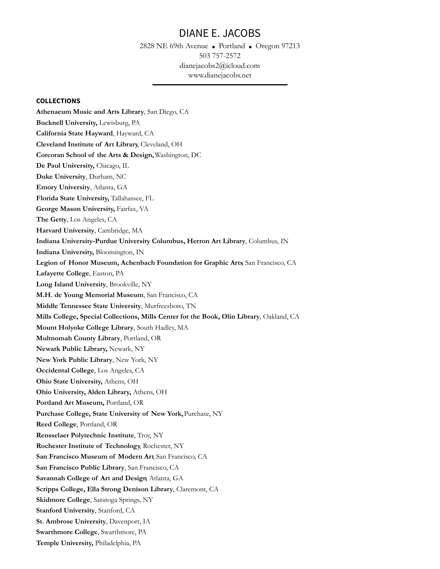2828 NE 69th Avenue ■ Portland ■ Oregon 97213 503 757-2572 [dianejacobs2@icloud.com](mailto:dianejacobs@igc.org) www.dianejacobs.net

#### **COLLECTIONS**

**Athenaeum Music and Arts Library**, San Diego, CA **Bucknell University,** Lewisburg, PA **California State Hayward**, Hayward, CA **Cleveland Institute of Art Library**, Cleveland, OH **Corcoran School of the Arts & Design,**Washington, DC **De Paul University,** Chicago, IL **Duke University**, Durham, NC **Emory University**, Atlanta, GA **Florida State University,** Tallahassee, FL **George Mason University,** Fairfax, VA **The Getty**, Los Angeles, CA **Harvard University**, Cambridge, MA **Indiana University-Purdue University Columbus, Herron Art Library**, Columbus, IN **Indiana University,** Bloomington, IN **Legion of Honor Museum, Achenbach Foundation for Graphic Arts**, San Francisco, CA **Lafayette College**, Easton, PA **Long Island University**, Brookville, NY **M.H. de Young Memorial Museum**, San Francisco, CA **Middle Tennessee State University**, Murfreesboro, TN **Mills College, Special Collections, Mills Center for the Book, Olin Library**, Oakland, CA **Mount Holyoke College Library**, South Hadley, MA **Multnomah County Library**, Portland, OR **Newark Public Library,** Newark, NY **New York Public Library**, New York, NY **Occidental College**, Los Angeles, CA **Ohio State University,** Athens, OH **Ohio University, Alden Library,** Athens, OH **Portland Art Museum,** Portland, OR **Purchase College, State University of New York,**Purchase, NY **Reed College**, Portland, OR **Rensselaer Polytechnic Institute**, Troy, NY **Rochester Institute of Technology**, Rochester, NY **San Francisco Museum of Modern Art**, San Francisco, CA **San Francisco Public Library**, San Francisco, CA **Savannah College of Art and Design**, Atlanta, GA **Scripps College, Ella Strong Denison Library**, Claremont, CA **Skidmore College**, Saratoga Springs, NY **Stanford University**, Stanford, CA **St. Ambrose University**, Davenport, IA **Swarthmore College**, Swarthmore, PA **Temple University,** Philadelphia, PA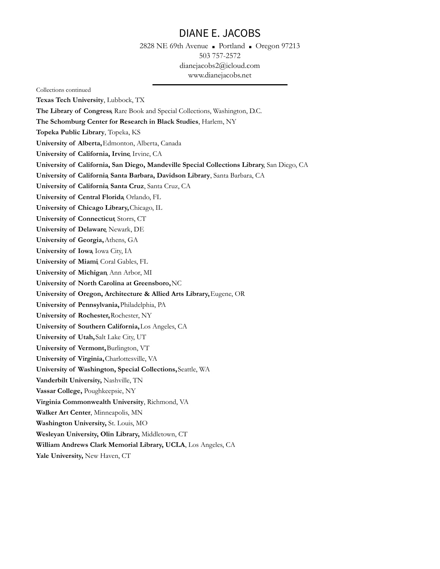2828 NE 69th Avenue ■ Portland ■ Oregon 97213 503 757-2572 [dianejacobs2@icloud.com](mailto:dianejacobs@igc.org) www.dianejacobs.net

Collections continued **Texas Tech University**, Lubbock, TX **The Library of Congress**, Rare Book and Special Collections, Washington, D.C. **The Schomburg Center for Research in Black Studies**, Harlem, NY **Topeka Public Library**, Topeka, KS **University of Alberta,**Edmonton, Alberta, Canada **University of California, Irvine**, Irvine, CA **University of California, San Diego, Mandeville Special Collections Library**, San Diego, CA **University of California**, **Santa Barbara, Davidson Library**, Santa Barbara, CA **University of California**, **Santa Cruz**, Santa Cruz, CA **University of Central Florida**, Orlando, FL **University of Chicago Library,**Chicago, IL **University of Connecticut**, Storrs, CT **University of Delaware**, Newark, DE **University of Georgia,**Athens, GA **University of Iowa**, Iowa City, IA **University of Miami**, Coral Gables, FL **University of Michigan**, Ann Arbor, MI **University of North Carolina at Greensboro,**NC **University of Oregon, Architecture & Allied Arts Library,**Eugene, OR **University of Pennsylvania,**Philadelphia, PA **University of Rochester,**Rochester, NY **University of Southern California,**Los Angeles, CA **University of Utah,**Salt Lake City, UT **University of Vermont,**Burlington, VT **University of Virginia,**Charlottesville, VA **University of Washington, Special Collections,**Seattle, WA **Vanderbilt University,** Nashville, TN **Vassar College,** Poughkeepsie, NY **Virginia Commonwealth University**, Richmond, VA **Walker Art Center**, Minneapolis, MN **Washington University,** St. Louis, MO **Wesleyan University, Olin Library,** Middletown, CT **William Andrews Clark Memorial Library, UCLA**, Los Angeles, CA **Yale University,** New Haven, CT